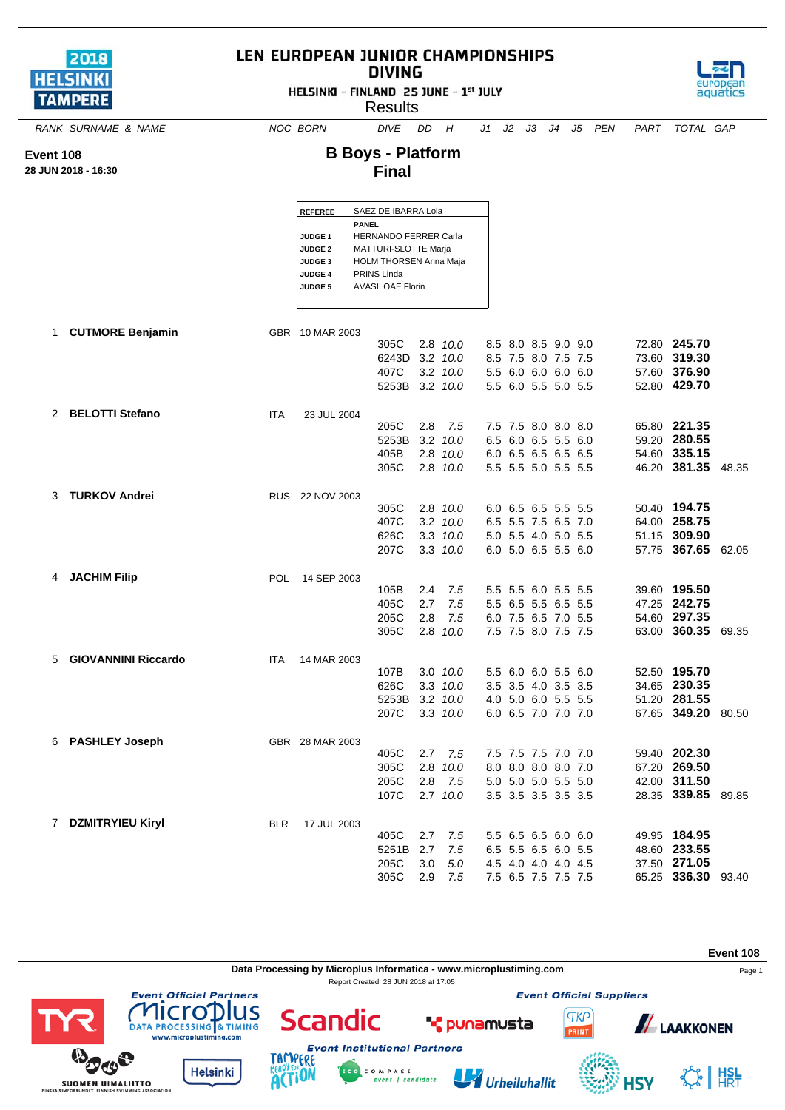

**Event 108 28 JUN 2018 - 16:30**

## LEN EUROPEAN JUNIOR CHAMPIONSHIPS **DIVING**

HELSINKI - FINLAND 25 JUNE - 1st JULY

**Results** 



*RANK SURNAME & NAME NOC BORN DIVE DD H J1 J2 J3 J4 J5 PEN PART TOTAL GAP*

## **B Boys - Platform Final**

| <b>REFEREE</b> | SAEZ DE IBARRA Lola           |
|----------------|-------------------------------|
|                | PANEL                         |
| <b>JUDGE1</b>  | <b>HERNANDO FERRER Carla</b>  |
| <b>JUDGE 2</b> | MATTURI-SLOTTE Marja          |
| <b>JUDGE 3</b> | <b>HOLM THORSEN Anna Maja</b> |
| <b>JUDGE 4</b> | PRINS Linda                   |
| <b>JUDGE 5</b> | <b>AVASILOAE Florin</b>       |
|                |                               |

|    | <b>CUTMORE Benjamin</b>    |            | GBR 10 MAR 2003 |                |     |              |  |                     |  |                    |       |
|----|----------------------------|------------|-----------------|----------------|-----|--------------|--|---------------------|--|--------------------|-------|
|    |                            |            |                 | 305C           |     | 2.8 10.0     |  | 8.5 8.0 8.5 9.0 9.0 |  | 72.80 245.70       |       |
|    |                            |            |                 | 6243D          |     | $3.2$ $10.0$ |  | 8.5 7.5 8.0 7.5 7.5 |  | 73.60 319.30       |       |
|    |                            |            |                 | 407C           |     | $3.2$ $10.0$ |  | 5.5 6.0 6.0 6.0 6.0 |  | 57.60 376.90       |       |
|    |                            |            |                 | 5253B 3.2 10.0 |     |              |  | 5.5 6.0 5.5 5.0 5.5 |  | 52.80 429.70       |       |
|    |                            |            |                 |                |     |              |  |                     |  |                    |       |
|    | 2 BELOTTI Stefano          | <b>ITA</b> | 23 JUL 2004     | 205C           | 2.8 | 7.5          |  | 7.5 7.5 8.0 8.0 8.0 |  | 65.80 221.35       |       |
|    |                            |            |                 | 5253B          |     | $3.2$ $10.0$ |  | 6.5 6.0 6.5 5.5 6.0 |  | 59.20 280.55       |       |
|    |                            |            |                 | 405B           |     | 2.8 10.0     |  | 6.0 6.5 6.5 6.5 6.5 |  | 54.60 335.15       |       |
|    |                            |            |                 | 305C           |     | 2.8 10.0     |  | 5.5 5.5 5.0 5.5 5.5 |  | 46.20 381.35       | 48.35 |
|    |                            |            |                 |                |     |              |  |                     |  |                    |       |
| 3  | <b>TURKOV Andrei</b>       |            | RUS 22 NOV 2003 |                |     |              |  |                     |  |                    |       |
|    |                            |            |                 | 305C           |     | 2.8 10.0     |  | 6.0 6.5 6.5 5.5 5.5 |  | 50.40 194.75       |       |
|    |                            |            |                 | 407C           |     | $3.2$ $10.0$ |  | 6.5 5.5 7.5 6.5 7.0 |  | 64.00 258.75       |       |
|    |                            |            |                 | 626C           |     | $3.3$ $10.0$ |  | 5.0 5.5 4.0 5.0 5.5 |  | 51.15 309.90       |       |
|    |                            |            |                 | 207C           |     | $3.3$ $10.0$ |  | 6.0 5.0 6.5 5.5 6.0 |  | 57.75 367.65 62.05 |       |
|    |                            |            |                 |                |     |              |  |                     |  |                    |       |
| 4  | <b>JACHIM Filip</b>        | POL.       | 14 SEP 2003     | 105B           | 2.4 | 7.5          |  | 5.5 5.5 6.0 5.5 5.5 |  | 39.60 195.50       |       |
|    |                            |            |                 | 405C           | 2.7 | 7.5          |  | 5.5 6.5 5.5 6.5 5.5 |  | 47.25 242.75       |       |
|    |                            |            |                 | 205C           | 2.8 | 7.5          |  | 6.0 7.5 6.5 7.0 5.5 |  | 54.60 297.35       |       |
|    |                            |            |                 | 305C           |     | 2.8 10.0     |  | 7.5 7.5 8.0 7.5 7.5 |  | 63.00 360.35 69.35 |       |
|    |                            |            |                 |                |     |              |  |                     |  |                    |       |
| 5. | <b>GIOVANNINI Riccardo</b> | <b>ITA</b> | 14 MAR 2003     |                |     |              |  |                     |  |                    |       |
|    |                            |            |                 | 107B           |     | 3.0 10.0     |  | 5.5 6.0 6.0 5.5 6.0 |  | 52.50 195.70       |       |
|    |                            |            |                 | 626C           |     | $3.3$ $10.0$ |  | 3.5 3.5 4.0 3.5 3.5 |  | 34.65 230.35       |       |
|    |                            |            |                 | 5253B          |     | $3.2$ $10.0$ |  | 4.0 5.0 6.0 5.5 5.5 |  | 51.20 281.55       |       |
|    |                            |            |                 | 207C           |     | $3.3$ $10.0$ |  | 6.0 6.5 7.0 7.0 7.0 |  | 67.65 349.20       | 80.50 |
| 6  | <b>PASHLEY Joseph</b>      |            | GBR 28 MAR 2003 |                |     |              |  |                     |  |                    |       |
|    |                            |            |                 | 405C           | 2.7 | 7.5          |  | 7.5 7.5 7.5 7.0 7.0 |  | 59.40 202.30       |       |
|    |                            |            |                 | 305C           | 2.8 | 10.0         |  | 8.0 8.0 8.0 8.0 7.0 |  | 67.20 269.50       |       |
|    |                            |            |                 | 205C           | 2.8 | 7.5          |  | 5.0 5.0 5.0 5.5 5.0 |  | 42.00 311.50       |       |
|    |                            |            |                 | 107C           |     | $2.7$ $10.0$ |  | 3.5 3.5 3.5 3.5 3.5 |  | 28.35 339.85 89.85 |       |
|    |                            |            |                 |                |     |              |  |                     |  |                    |       |
| 7  | <b>DZMITRYIEU Kiryl</b>    | <b>BLR</b> | 17 JUL 2003     | 405C           | 2.7 | 7.5          |  | 5.5 6.5 6.5 6.0 6.0 |  | 49.95 184.95       |       |
|    |                            |            |                 | 5251B          | 2.7 | 7.5          |  | 6.5 5.5 6.5 6.0 5.5 |  | 48.60 233.55       |       |
|    |                            |            |                 | 205C           | 3.0 | 5.0          |  | 4.5 4.0 4.0 4.0 4.5 |  | 37.50 271.05       |       |
|    |                            |            |                 | 305C           | 2.9 | 7.5          |  |                     |  | 65.25 336.30       | 93.40 |
|    |                            |            |                 |                |     |              |  | 7.5 6.5 7.5 7.5 7.5 |  |                    |       |

**Event 108 Data Processing by Microplus Informatica - www.microplustiming.com** Page 1 Report Created 28 JUN 2018 at 17:05**Event Official Partners Event Official Suppliers** lus licro **TKP \*** punamusta DATA PROCESSING & TIMING



**NPI** 



Scandic





C O M P A S S<br>event | candidate



RINT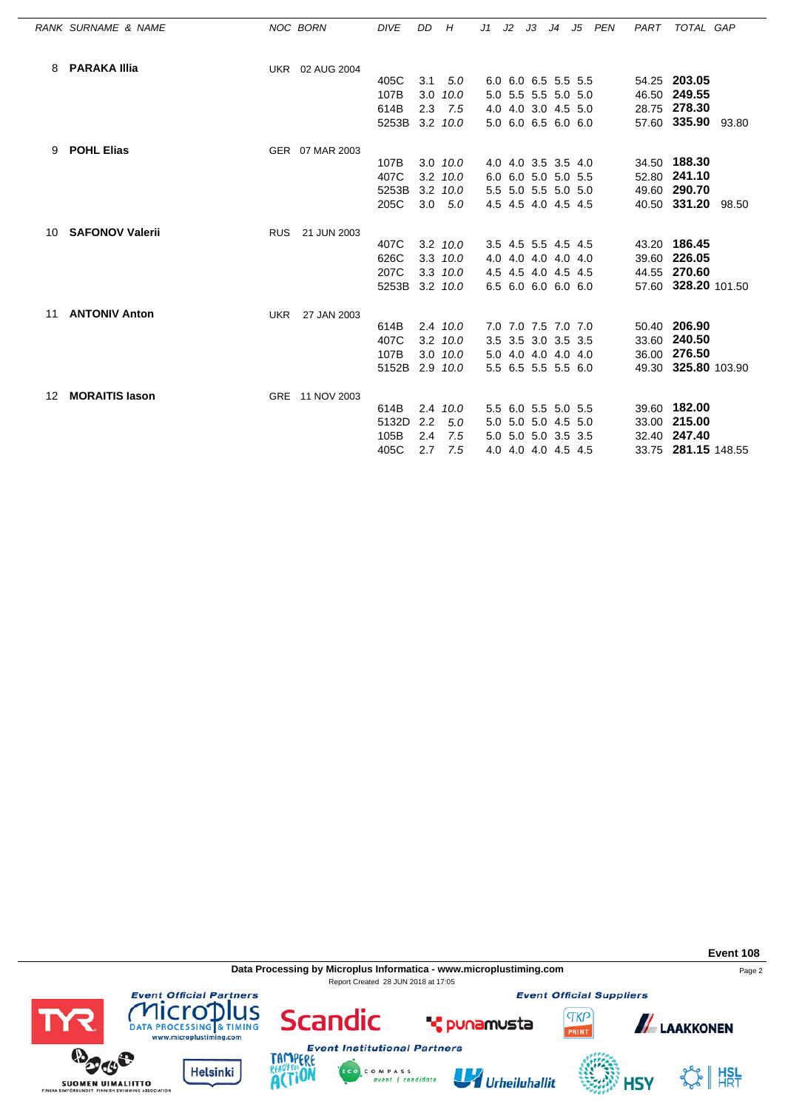|     | RANK SURNAME & NAME    | NOC BORN   |                 | <b>DIVE</b>    | DD            | H                | J1 | $J2$ $J3$ |                     | J4 J5 PEN | PART | TOTAL GAP           |  |
|-----|------------------------|------------|-----------------|----------------|---------------|------------------|----|-----------|---------------------|-----------|------|---------------------|--|
| 8   | <b>PARAKA Illia</b>    |            | UKR 02 AUG 2004 |                |               |                  |    |           |                     |           |      |                     |  |
|     |                        |            |                 | 405C           | 3.1           | 5.0              |    |           | 6.0 6.0 6.5 5.5 5.5 |           |      | 54.25 203.05        |  |
|     |                        |            |                 | 107B           |               | $3.0$ $10.0$     |    |           | 5.0 5.5 5.5 5.0 5.0 |           |      | 46.50 249.55        |  |
|     |                        |            |                 | 614B           | 2.3           | 7.5              |    |           | 4.0 4.0 3.0 4.5 5.0 |           |      | 28.75 278.30        |  |
|     |                        |            |                 | 5253B          |               | 3.2 10.0         |    |           | 5.0 6.0 6.5 6.0 6.0 |           |      | 57.60 335.90 93.80  |  |
| 9   | <b>POHL Elias</b>      |            | GER 07 MAR 2003 |                |               |                  |    |           |                     |           |      |                     |  |
|     |                        |            |                 | 107B           |               | $3.0$ $10.0$     |    |           | 4.0 4.0 3.5 3.5 4.0 |           |      | 34.50 188.30        |  |
|     |                        |            |                 | 407C           |               | $3.2$ $10.0$     |    |           | 6.0 6.0 5.0 5.0 5.5 |           |      | 52.80 241.10        |  |
|     |                        |            |                 | 5253B          |               | $3.2 \quad 10.0$ |    |           | 5.5 5.0 5.5 5.0 5.0 |           |      | 49.60 290.70        |  |
|     |                        |            |                 | 205C           |               | $3.0\quad 5.0$   |    |           | 4.5 4.5 4.0 4.5 4.5 |           |      | 40.50 331.20 98.50  |  |
| 10. | <b>SAFONOV Valerii</b> | <b>RUS</b> | 21 JUN 2003     |                |               |                  |    |           |                     |           |      |                     |  |
|     |                        |            |                 | 407C           |               | 3.2 10.0         |    |           | 3.5 4.5 5.5 4.5 4.5 |           |      | 43.20 186.45        |  |
|     |                        |            |                 | 626C           |               | $3.3$ $10.0$     |    |           | 4.0 4.0 4.0 4.0 4.0 |           |      | 39.60 226.05        |  |
|     |                        |            |                 | 207C           |               | $3.3$ $10.0$     |    |           | 4.5 4.5 4.0 4.5 4.5 |           |      | 44.55 270.60        |  |
|     |                        |            |                 | 5253B 3.2 10.0 |               |                  |    |           | 6.5 6.0 6.0 6.0 6.0 |           |      | 57.60 328.20 101.50 |  |
| 11  | <b>ANTONIV Anton</b>   | UKR        | 27 JAN 2003     |                |               |                  |    |           |                     |           |      |                     |  |
|     |                        |            |                 | 614B           |               | 2.4 10.0         |    |           | 7.0 7.0 7.5 7.0 7.0 |           |      | 50.40 206.90        |  |
|     |                        |            |                 | 407C           |               | $3.2$ $10.0$     |    |           | 3.5 3.5 3.0 3.5 3.5 |           |      | 33.60 240.50        |  |
|     |                        |            |                 | 107B           |               | $3.0$ $10.0$     |    |           | 5.0 4.0 4.0 4.0 4.0 |           |      | 36.00 276.50        |  |
|     |                        |            |                 | 5152B 2.9 10.0 |               |                  |    |           | 5.5 6.5 5.5 5.5 6.0 |           |      | 49.30 325.80 103.90 |  |
| 12  | <b>MORAITIS lason</b>  |            | GRE 11 NOV 2003 |                |               |                  |    |           |                     |           |      |                     |  |
|     |                        |            |                 | 614B           |               | 2.4 10.0         |    |           | 5.5 6.0 5.5 5.0 5.5 |           |      | 39.60 182.00        |  |
|     |                        |            |                 | 5132D          | $2.2^{\circ}$ | 5.0              |    |           | 5.0 5.0 5.0 4.5 5.0 |           |      | 33.00 215.00        |  |
|     |                        |            |                 | 105B           | 2.4           | 7.5              |    |           | 5.0 5.0 5.0 3.5 3.5 |           |      | 32.40 247.40        |  |
|     |                        |            |                 | 405C           | 2.7           | 7.5              |    |           | 4.0 4.0 4.0 4.5 4.5 |           |      | 33.75 281.15 148.55 |  |

**Data Processing by Microplus Informatica - www.microplustiming.com** Page 2 Report Created 28 JUN 2018 at 17:05

**Event Official Suppliers** 

**TKP** 

**Event 108**



**HSY** 



**Event Official Partners** 

**BOOS** 

SUOMEN UIMALIITTO



**T** punamusta



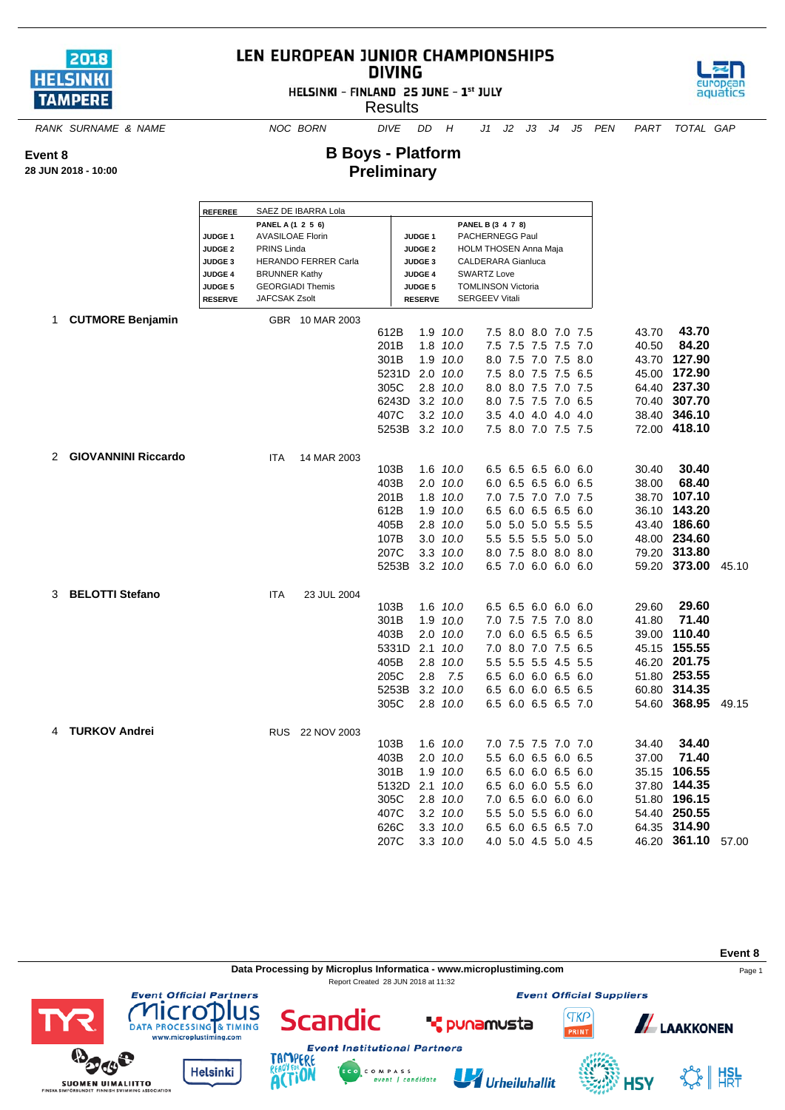

**28 JUN 2018 - 10:00**

**Event 8**

## LEN EUROPEAN JUNIOR CHAMPIONSHIPS **DIVING**

HELSINKI - FINLAND 25 JUNE - 1st JULY

**Results** 



*RANK SURNAME & NAME NOC BORN DIVE DD H J1 J2 J3 J4 J5 PEN PART TOTAL GAP*

**B Boys - Platform Preliminary**

|   |                            |                                  |                         | SAEZ DE IBARRA Lola     |       |                                      |                  |                                          |                     |         |       |              |       |
|---|----------------------------|----------------------------------|-------------------------|-------------------------|-------|--------------------------------------|------------------|------------------------------------------|---------------------|---------|-------|--------------|-------|
|   |                            | <b>REFEREE</b>                   | PANEL A (1 2 5 6)       |                         |       |                                      |                  | PANEL B (3 4 7 8)                        |                     |         |       |              |       |
|   |                            | JUDGE <sub>1</sub>               | <b>AVASILOAE Florin</b> |                         |       | JUDGE <sub>1</sub>                   |                  | PACHERNEGG Paul                          |                     |         |       |              |       |
|   |                            | <b>JUDGE 2</b>                   | PRINS Linda             |                         |       | <b>JUDGE 2</b>                       |                  | <b>HOLM THOSEN Anna Maja</b>             |                     |         |       |              |       |
|   |                            | <b>JUDGE 3</b><br><b>JUDGE 4</b> | <b>BRUNNER Kathy</b>    | HERANDO FERRER Carla    |       | JUDGE <sub>3</sub><br><b>JUDGE 4</b> |                  | CALDERARA Gianluca<br><b>SWARTZ Love</b> |                     |         |       |              |       |
|   |                            | <b>JUDGE 5</b>                   |                         | <b>GEORGIADI Themis</b> |       | <b>JUDGE 5</b>                       |                  | <b>TOMLINSON Victoria</b>                |                     |         |       |              |       |
|   |                            | <b>RESERVE</b>                   | <b>JAFCSAK Zsolt</b>    |                         |       | <b>RESERVE</b>                       |                  | <b>SERGEEV Vitali</b>                    |                     |         |       |              |       |
| 1 | <b>CUTMORE Benjamin</b>    |                                  |                         | GBR 10 MAR 2003         |       |                                      |                  |                                          |                     |         |       |              |       |
|   |                            |                                  |                         |                         | 612B  |                                      | 1.9 10.0         |                                          | 7.5 8.0 8.0 7.0 7.5 |         | 43.70 | 43.70        |       |
|   |                            |                                  |                         |                         | 201B  |                                      | 1.8 10.0         |                                          | 7.5 7.5 7.5 7.5 7.0 |         | 40.50 | 84.20        |       |
|   |                            |                                  |                         |                         | 301B  |                                      | 1.9 10.0         |                                          | 8.0 7.5 7.0 7.5 8.0 |         | 43.70 | 127.90       |       |
|   |                            |                                  |                         |                         | 5231D |                                      | $2.0$ $10.0$     |                                          | 7.5 8.0 7.5         | 7.5 6.5 | 45.00 | 172.90       |       |
|   |                            |                                  |                         |                         | 305C  |                                      | 2.8 10.0         |                                          | 8.0 8.0 7.5 7.0 7.5 |         |       | 64.40 237.30 |       |
|   |                            |                                  |                         |                         | 6243D |                                      | $3.2 \quad 10.0$ | 8.0                                      | 7.5 7.5             | 7.0 6.5 | 70.40 | 307.70       |       |
|   |                            |                                  |                         |                         | 407C  |                                      | $3.2$ $10.0$     |                                          | 3.5 4.0 4.0 4.0 4.0 |         | 38.40 | 346.10       |       |
|   |                            |                                  |                         |                         | 5253B |                                      | $3.2$ $10.0$     |                                          | 7.5 8.0 7.0 7.5 7.5 |         |       | 72.00 418.10 |       |
| 2 | <b>GIOVANNINI Riccardo</b> |                                  | <b>ITA</b>              | 14 MAR 2003             |       |                                      |                  |                                          |                     |         |       |              |       |
|   |                            |                                  |                         |                         | 103B  |                                      | 1.6 10.0         |                                          | 6.5 6.5 6.5 6.0 6.0 |         | 30.40 | 30.40        |       |
|   |                            |                                  |                         |                         | 403B  |                                      | $2.0$ $10.0$     |                                          | 6.0 6.5 6.5 6.0 6.5 |         | 38.00 | 68.40        |       |
|   |                            |                                  |                         |                         | 201B  |                                      | 1.8 10.0         |                                          | 7.0 7.5 7.0 7.0 7.5 |         | 38.70 | 107.10       |       |
|   |                            |                                  |                         |                         | 612B  |                                      | 1.9 10.0         |                                          | 6.5 6.0 6.5 6.5 6.0 |         | 36.10 | 143.20       |       |
|   |                            |                                  |                         |                         | 405B  |                                      | 2.8 10.0         |                                          | 5.0 5.0 5.0 5.5 5.5 |         | 43.40 | 186.60       |       |
|   |                            |                                  |                         |                         | 107B  |                                      | $3.0$ $10.0$     |                                          | 5.5 5.5 5.5 5.0 5.0 |         |       | 48.00 234.60 |       |
|   |                            |                                  |                         |                         | 207C  |                                      | 3.3 10.0         |                                          | 8.0 7.5 8.0 8.0 8.0 |         |       | 79.20 313.80 |       |
|   |                            |                                  |                         |                         | 5253B |                                      | 3.2 10.0         |                                          | 6.5 7.0 6.0 6.0 6.0 |         |       | 59.20 373.00 | 45.10 |
| 3 | <b>BELOTTI Stefano</b>     |                                  | <b>ITA</b>              | 23 JUL 2004             |       |                                      |                  |                                          |                     |         |       |              |       |
|   |                            |                                  |                         |                         | 103B  |                                      | 1.6 10.0         |                                          | 6.5 6.5 6.0 6.0 6.0 |         | 29.60 | 29.60        |       |
|   |                            |                                  |                         |                         | 301B  |                                      | 1.9 10.0         |                                          | 7.0 7.5 7.5 7.0 8.0 |         | 41.80 | 71.40        |       |
|   |                            |                                  |                         |                         | 403B  |                                      | $2.0$ $10.0$     |                                          | 7.0 6.0 6.5 6.5 6.5 |         | 39.00 | 110.40       |       |
|   |                            |                                  |                         |                         | 5331D | 2.1                                  | 10.0             |                                          | 7.0 8.0 7.0 7.5 6.5 |         | 45.15 | 155.55       |       |
|   |                            |                                  |                         |                         | 405B  |                                      | 2.8 10.0         |                                          | 5.5 5.5 5.5 4.5 5.5 |         |       | 46.20 201.75 |       |
|   |                            |                                  |                         |                         | 205C  | 2.8                                  | 7.5              |                                          | 6.5 6.0 6.0 6.5 6.0 |         |       | 51.80 253.55 |       |
|   |                            |                                  |                         |                         | 5253B | 3.2                                  | 10.0             |                                          | 6.5 6.0 6.0 6.5 6.5 |         |       | 60.80 314.35 |       |
|   |                            |                                  |                         |                         | 305C  |                                      | 2.8 10.0         |                                          | 6.5 6.0 6.5 6.5 7.0 |         |       | 54.60 368.95 | 49.15 |
|   | <b>TURKOV Andrei</b>       |                                  |                         | RUS 22 NOV 2003         |       |                                      |                  |                                          |                     |         |       |              |       |
|   |                            |                                  |                         |                         | 103B  |                                      | 1.6 10.0         |                                          | 7.0 7.5 7.5 7.0 7.0 |         | 34.40 | 34.40        |       |
|   |                            |                                  |                         |                         | 403B  |                                      | $2.0$ $10.0$     |                                          | 5.5 6.0 6.5 6.0 6.5 |         | 37.00 | 71.40        |       |
|   |                            |                                  |                         |                         | 301B  |                                      | 1.9 10.0         |                                          | 6.5 6.0 6.0 6.5 6.0 |         | 35.15 | 106.55       |       |
|   |                            |                                  |                         |                         | 5132D | 2.1                                  | 10.0             |                                          | 6.5 6.0 6.0 5.5 6.0 |         | 37.80 | 144.35       |       |
|   |                            |                                  |                         |                         | 305C  |                                      | $2.8$ $10.0$     |                                          | 7.0 6.5 6.0 6.0 6.0 |         | 51.80 | 196.15       |       |
|   |                            |                                  |                         |                         | 407C  |                                      | $3.2$ $10.0$     |                                          | 5.5 5.0 5.5 6.0 6.0 |         | 54.40 | 250.55       |       |
|   |                            |                                  |                         |                         | 626C  |                                      | 3.3 10.0         |                                          | 6.5 6.0 6.5 6.5 7.0 |         | 64.35 | 314.90       |       |
|   |                            |                                  |                         |                         | 207C  |                                      | 3.3, 10.0        |                                          | 4.0 5.0 4.5 5.0 4.5 |         | 46.20 | 361.10       | 57.00 |

**Event 8 Data Processing by Microplus Informatica - www.microplustiming.com** expansion of the Page 1 Report Created 28 JUN 2018 at 11:32**Event Official Suppliers Event Official Partners** lus licro Scandic **TKP** LAAKKONEN **T** punamusta DATA PROCESSING & TIMING RINT www.microplustiming.com



TAMP ERE

**ACTION** 

**Helsinki** 

アイジ

**SUOMEN UIMALIITTO** 





**HSY**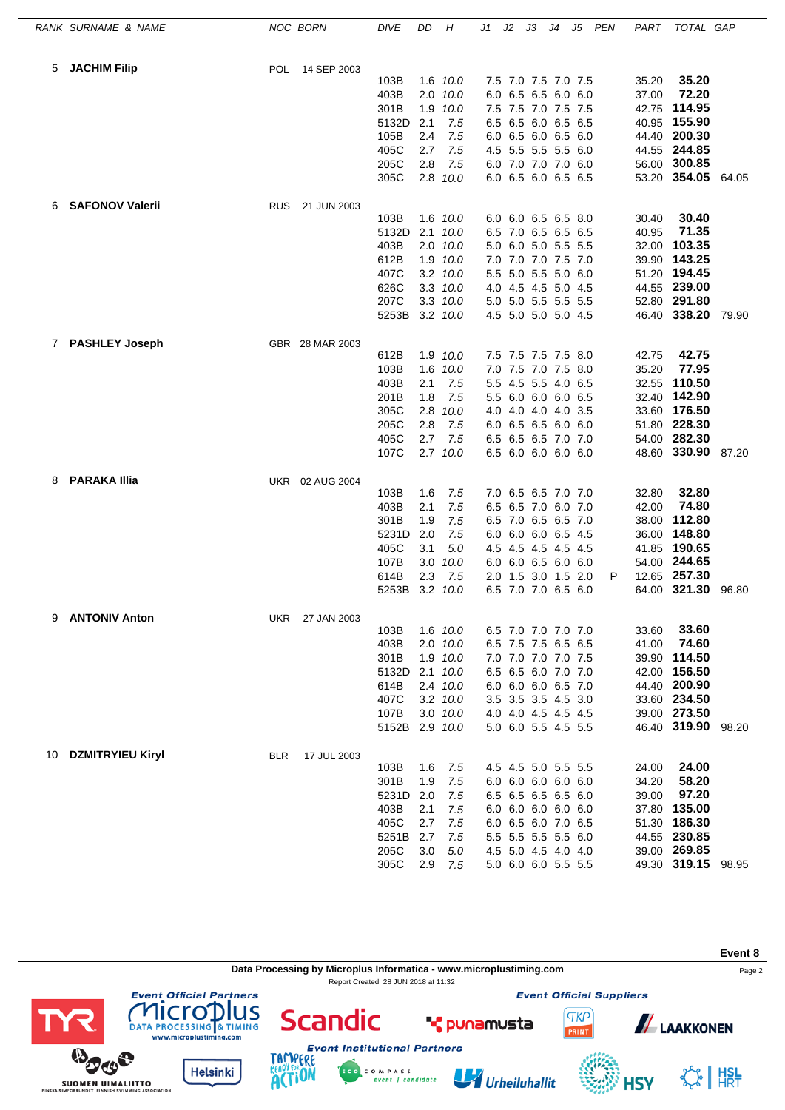|    | RANK SURNAME & NAME     | NOC BORN   |                 | <b>DIVE</b>    | DD      | Η            | J1 | J2 | JЗ                  | J4 | J5 | PEN | PART  | TOTAL GAP          |       |
|----|-------------------------|------------|-----------------|----------------|---------|--------------|----|----|---------------------|----|----|-----|-------|--------------------|-------|
| 5  | <b>JACHIM Filip</b>     | <b>POL</b> | 14 SEP 2003     |                |         |              |    |    |                     |    |    |     |       |                    |       |
|    |                         |            |                 | 103B           |         | 1.6 10.0     |    |    | 7.5 7.0 7.5 7.0 7.5 |    |    |     | 35.20 | 35.20              |       |
|    |                         |            |                 | 403B           |         | $2.0$ $10.0$ |    |    | 6.0 6.5 6.5 6.0 6.0 |    |    |     | 37.00 | 72.20              |       |
|    |                         |            |                 | 301B           |         | 1.9 10.0     |    |    | 7.5 7.5 7.0 7.5 7.5 |    |    |     | 42.75 | 114.95             |       |
|    |                         |            |                 | 5132D          | 2.1     | 7.5          |    |    | 6.5 6.5 6.0 6.5 6.5 |    |    |     |       | 40.95 155.90       |       |
|    |                         |            |                 | 105B           | 2.4     | 7.5          |    |    | 6.0 6.5 6.0 6.5 6.0 |    |    |     |       | 44.40 200.30       |       |
|    |                         |            |                 | 405C           | 2.7     | 7.5          |    |    | 4.5 5.5 5.5 5.5 6.0 |    |    |     |       | 44.55 244.85       |       |
|    |                         |            |                 | 205C           | 2.8     | 7.5          |    |    | 6.0 7.0 7.0 7.0 6.0 |    |    |     |       | 56.00 300.85       |       |
|    |                         |            |                 | 305C           |         | 2.8 10.0     |    |    | 6.0 6.5 6.0 6.5 6.5 |    |    |     |       | 53.20 354.05 64.05 |       |
| 6  | <b>SAFONOV Valerii</b>  | <b>RUS</b> | 21 JUN 2003     |                |         |              |    |    |                     |    |    |     |       |                    |       |
|    |                         |            |                 | 103B           |         | 1.6 10.0     |    |    | 6.0 6.0 6.5 6.5 8.0 |    |    |     | 30.40 | 30.40              |       |
|    |                         |            |                 | 5132D          |         | $2.1$ $10.0$ |    |    | 6.5 7.0 6.5 6.5 6.5 |    |    |     | 40.95 | 71.35              |       |
|    |                         |            |                 | 403B           |         | 2.0 10.0     |    |    | 5.0 6.0 5.0 5.5 5.5 |    |    |     | 32.00 | 103.35             |       |
|    |                         |            |                 | 612B           |         | 1.9 10.0     |    |    | 7.0 7.0 7.0 7.5 7.0 |    |    |     |       | 39.90 143.25       |       |
|    |                         |            |                 | 407C           |         | 3.2 10.0     |    |    | 5.5 5.0 5.5 5.0 6.0 |    |    |     | 51.20 | 194.45             |       |
|    |                         |            |                 | 626C           |         | 3.3 10.0     |    |    | 4.0 4.5 4.5 5.0 4.5 |    |    |     |       | 44.55 239.00       |       |
|    |                         |            |                 | 207C           |         | 3.3 10.0     |    |    | 5.0 5.0 5.5 5.5 5.5 |    |    |     |       | 52.80 291.80       |       |
|    |                         |            |                 | 5253B 3.2 10.0 |         |              |    |    | 4.5 5.0 5.0 5.0 4.5 |    |    |     |       | 46.40 338.20 79.90 |       |
| 7  | <b>PASHLEY Joseph</b>   |            | GBR 28 MAR 2003 |                |         |              |    |    |                     |    |    |     |       |                    |       |
|    |                         |            |                 | 612B           |         | 1.9 10.0     |    |    | 7.5 7.5 7.5 7.5 8.0 |    |    |     | 42.75 | 42.75              |       |
|    |                         |            |                 | 103B           |         | 1.6 10.0     |    |    | 7.0 7.5 7.0 7.5 8.0 |    |    |     | 35.20 | 77.95              |       |
|    |                         |            |                 | 403B           | 2.1     | 7.5          |    |    | 5.5 4.5 5.5 4.0 6.5 |    |    |     | 32.55 | 110.50             |       |
|    |                         |            |                 | 201B           | 1.8     | 7.5          |    |    | 5.5 6.0 6.0 6.0 6.5 |    |    |     |       | 32.40 142.90       |       |
|    |                         |            |                 | 305C           | 2.8     | 10.0         |    |    | 4.0 4.0 4.0 4.0 3.5 |    |    |     |       | 33.60 176.50       |       |
|    |                         |            |                 | 205C           | 2.8     | 7.5          |    |    | 6.0 6.5 6.5 6.0 6.0 |    |    |     |       | 51.80 228.30       |       |
|    |                         |            |                 | 405C           | 2.7     | 7.5          |    |    | 6.5 6.5 6.5 7.0 7.0 |    |    |     |       | 54.00 282.30       |       |
|    |                         |            |                 | 107C           |         | $2.7$ $10.0$ |    |    | 6.5 6.0 6.0 6.0 6.0 |    |    |     |       | 48.60 330.90 87.20 |       |
| 8  | <b>PARAKA Illia</b>     |            | UKR 02 AUG 2004 |                |         |              |    |    |                     |    |    |     |       |                    |       |
|    |                         |            |                 | 103B           | 1.6     | 7.5          |    |    | 7.0 6.5 6.5 7.0 7.0 |    |    |     | 32.80 | 32.80              |       |
|    |                         |            |                 | 403B           | 2.1     | 7.5          |    |    | 6.5 6.5 7.0 6.0 7.0 |    |    |     | 42.00 | 74.80              |       |
|    |                         |            |                 | 301B           | 1.9     | 7.5          |    |    | 6.5 7.0 6.5 6.5 7.0 |    |    |     | 38.00 | 112.80             |       |
|    |                         |            |                 | 5231D          | 2.0     | 7.5          |    |    | 6.0 6.0 6.0 6.5 4.5 |    |    |     | 36.00 | 148.80             |       |
|    |                         |            |                 | 405C           | 3.1     | 5.0          |    |    | 4.5 4.5 4.5 4.5 4.5 |    |    |     |       | 41.85 190.65       |       |
|    |                         |            |                 | 107B           |         | $3.0$ $10.0$ |    |    | 6.0 6.0 6.5 6.0 6.0 |    |    |     |       | 54.00 244.65       |       |
|    |                         |            |                 | 614B           | 2.3     | 7.5          |    |    | 2.0 1.5 3.0 1.5 2.0 |    |    | P   |       | 12.65 257.30       |       |
|    |                         |            |                 | 5253B          |         | 3.2 10.0     |    |    | 6.5 7.0 7.0 6.5 6.0 |    |    |     |       | 64.00 321.30       | 96.80 |
| 9  | <b>ANTONIV Anton</b>    |            | UKR 27 JAN 2003 |                |         |              |    |    |                     |    |    |     |       |                    |       |
|    |                         |            |                 | 103B           |         | 1.6 10.0     |    |    | 6.5 7.0 7.0 7.0 7.0 |    |    |     | 33.60 | 33.60              |       |
|    |                         |            |                 | 403B           |         | $2.0$ $10.0$ |    |    | 6.5 7.5 7.5 6.5 6.5 |    |    |     | 41.00 | 74.60              |       |
|    |                         |            |                 | 301B           |         | 1.9 10.0     |    |    | 7.0 7.0 7.0 7.0 7.5 |    |    |     |       | 39.90 114.50       |       |
|    |                         |            |                 | 5132D          |         | $2.1$ $10.0$ |    |    | 6.5 6.5 6.0 7.0 7.0 |    |    |     |       | 42.00 156.50       |       |
|    |                         |            |                 | 614B           |         | 2.4 10.0     |    |    | 6.0 6.0 6.0 6.5 7.0 |    |    |     |       | 44.40 200.90       |       |
|    |                         |            |                 | 407C           |         | 3.2 10.0     |    |    | 3.5 3.5 3.5 4.5 3.0 |    |    |     |       | 33.60 234.50       |       |
|    |                         |            |                 | 107B           |         | 3.0 10.0     |    |    | 4.0 4.0 4.5 4.5 4.5 |    |    |     |       | 39.00 273.50       |       |
|    |                         |            |                 | 5152B 2.9 10.0 |         |              |    |    | 5.0 6.0 5.5 4.5 5.5 |    |    |     |       | 46.40 319.90 98.20 |       |
| 10 | <b>DZMITRYIEU Kiryl</b> | <b>BLR</b> | 17 JUL 2003     |                |         |              |    |    |                     |    |    |     |       |                    |       |
|    |                         |            |                 | 103B           | 1.6     | 7.5          |    |    | 4.5 4.5 5.0 5.5 5.5 |    |    |     | 24.00 | 24.00              |       |
|    |                         |            |                 | 301B           | 1.9     | 7.5          |    |    | 6.0 6.0 6.0 6.0 6.0 |    |    |     | 34.20 | 58.20              |       |
|    |                         |            |                 | 5231D          | 2.0     | 7.5          |    |    | 6.5 6.5 6.5 6.5 6.0 |    |    |     | 39.00 | 97.20              |       |
|    |                         |            |                 | 403B           | 2.1     | 7.5          |    |    | 6.0 6.0 6.0 6.0 6.0 |    |    |     |       | 37.80 135.00       |       |
|    |                         |            |                 | 405C           | 2.7     | 7.5          |    |    | 6.0 6.5 6.0 7.0 6.5 |    |    |     |       | 51.30 186.30       |       |
|    |                         |            |                 | 5251B          | 2.7     | 7.5          |    |    | 5.5 5.5 5.5 5.5 6.0 |    |    |     |       | 44.55 230.85       |       |
|    |                         |            |                 | 205C           | $3.0\,$ | 5.0          |    |    | 4.5 5.0 4.5 4.0 4.0 |    |    |     |       | 39.00 269.85       |       |
|    |                         |            |                 | 305C           |         | 2.9 7.5      |    |    | 5.0 6.0 6.0 5.5 5.5 |    |    |     |       | 49.30 319.15 98.95 |       |

**Event 8 Data Processing by Microplus Informatica - www.microplustiming.com** Page 2 Report Created 28 JUN 2018 at 11:32**Event Official Partners Event Official Suppliers COMPLETED**<br>DATA PROCESSING & TIMING<br>www.microplustiming.com **Scandic TKP ALAAKKONEN T** punamusta **Event Institutional Partners BOOS** TAMP ERE

C O M P A S S<br>event | candidate

Urheiluhallit

**Helsinki** 

**SUOMEN UIMALIITTO** 

**ACTION** 

SS HISL

**HSY**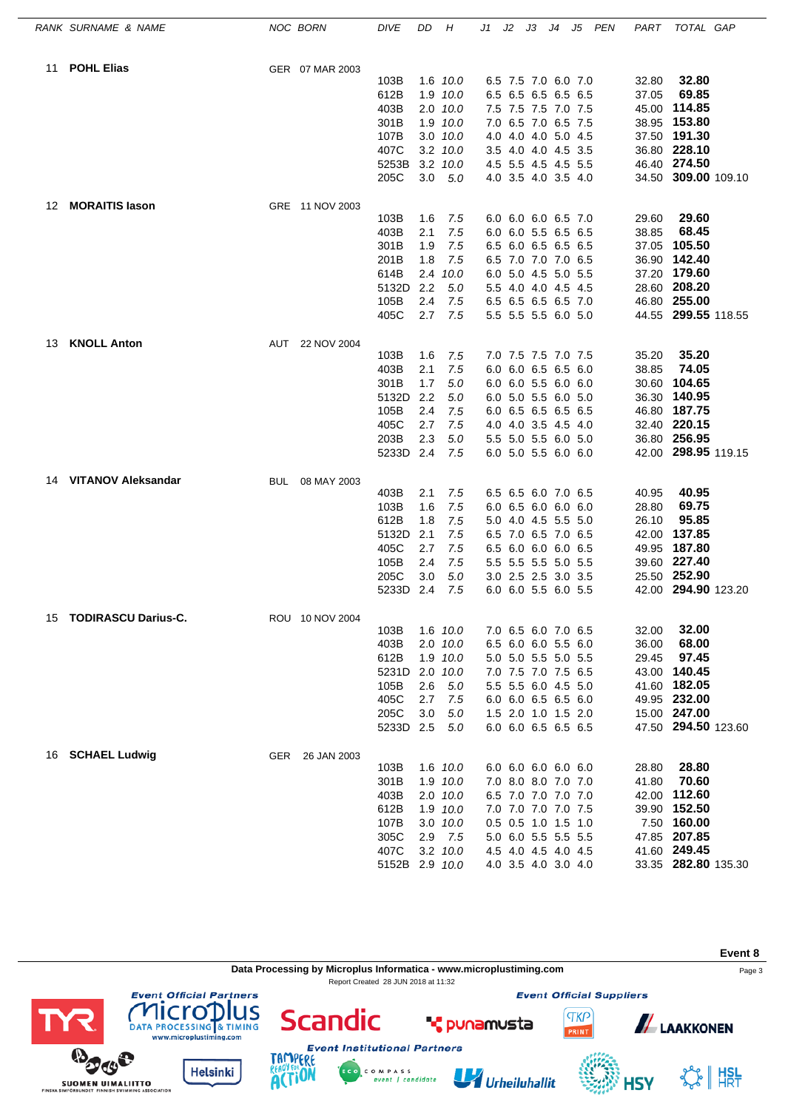|    | RANK SURNAME & NAME        |            | NOC BORN        | <b>DIVE</b>    | DD         | Н            | J1 | J2 | JЗ                                         | J4 | J5 PEN | PART           | TOTAL GAP           |  |
|----|----------------------------|------------|-----------------|----------------|------------|--------------|----|----|--------------------------------------------|----|--------|----------------|---------------------|--|
| 11 | <b>POHL Elias</b>          |            | GER 07 MAR 2003 |                |            |              |    |    |                                            |    |        |                |                     |  |
|    |                            |            |                 | 103B           |            | 1.6 10.0     |    |    | 6.5 7.5 7.0 6.0 7.0                        |    |        | 32.80          | 32.80               |  |
|    |                            |            |                 | 612B           |            | 1.9 10.0     |    |    | 6.5 6.5 6.5 6.5 6.5                        |    |        | 37.05          | 69.85               |  |
|    |                            |            |                 | 403B           |            | 2.0 10.0     |    |    | 7.5 7.5 7.5 7.0 7.5                        |    |        | 45.00          | 114.85              |  |
|    |                            |            |                 | 301B           |            | 1.9 10.0     |    |    | 7.0 6.5 7.0 6.5 7.5                        |    |        |                | 38.95 153.80        |  |
|    |                            |            |                 | 107B           |            | 3.0 10.0     |    |    | 4.0 4.0 4.0 5.0 4.5                        |    |        |                | 37.50 191.30        |  |
|    |                            |            |                 | 407C           |            | $3.2$ $10.0$ |    |    | 3.5 4.0 4.0 4.5 3.5                        |    |        |                | 36.80 228.10        |  |
|    |                            |            |                 | 5253B          |            | $3.2$ $10.0$ |    |    | 4.5 5.5 4.5 4.5 5.5                        |    |        |                | 46.40 274.50        |  |
|    |                            |            |                 | 205C           | 3.0        | 5.0          |    |    | 4.0 3.5 4.0 3.5 4.0                        |    |        |                | 34.50 309.00 109.10 |  |
| 12 | <b>MORAITIS lason</b>      |            | GRE 11 NOV 2003 |                |            |              |    |    |                                            |    |        |                |                     |  |
|    |                            |            |                 | 103B           | 1.6        | 7.5          |    |    | 6.0 6.0 6.0 6.5 7.0                        |    |        | 29.60          | 29.60               |  |
|    |                            |            |                 | 403B           | 2.1        | 7.5          |    |    | 6.0 6.0 5.5 6.5 6.5                        |    |        | 38.85          | 68.45               |  |
|    |                            |            |                 | 301B           | 1.9        | 7.5          |    |    | 6.5 6.0 6.5 6.5 6.5                        |    |        | 37.05          | 105.50              |  |
|    |                            |            |                 | 201B           | 1.8        | 7.5          |    |    | 6.5 7.0 7.0 7.0 6.5                        |    |        |                | 36.90 142.40        |  |
|    |                            |            |                 | 614B           |            | $2.4$ $10.0$ |    |    | 6.0 5.0 4.5 5.0 5.5                        |    |        |                | 37.20 179.60        |  |
|    |                            |            |                 | 5132D          | 2.2        | 5.0          |    |    | 5.5 4.0 4.0 4.5 4.5                        |    |        |                | 28.60 208.20        |  |
|    |                            |            |                 | 105B           | 2.4        | 7.5          |    |    | 6.5 6.5 6.5 6.5 7.0                        |    |        |                | 46.80 255.00        |  |
|    |                            |            |                 | 405C           | 2.7        | 7.5          |    |    | 5.5 5.5 5.5 6.0 5.0                        |    |        |                | 44.55 299.55 118.55 |  |
| 13 | <b>KNOLL Anton</b>         |            | AUT 22 NOV 2004 |                |            |              |    |    | 7.0 7.5 7.5 7.0 7.5                        |    |        |                | 35.20               |  |
|    |                            |            |                 | 103B           | 1.6<br>2.1 | 7.5<br>7.5   |    |    |                                            |    |        | 35.20          | 74.05               |  |
|    |                            |            |                 | 403B<br>301B   | 1.7        | 5.0          |    |    | 6.0 6.0 6.5 6.5 6.0                        |    |        | 38.85          | 104.65              |  |
|    |                            |            |                 | 5132D          | 2.2        | 5.0          |    |    | 6.0 6.0 5.5 6.0 6.0<br>6.0 5.0 5.5 6.0 5.0 |    |        | 30.60<br>36.30 | 140.95              |  |
|    |                            |            |                 | 105B           | 2.4        | 7.5          |    |    | 6.0 6.5 6.5 6.5 6.5                        |    |        | 46.80          | 187.75              |  |
|    |                            |            |                 | 405C           | 2.7        | 7.5          |    |    | 4.0 4.0 3.5 4.5 4.0                        |    |        |                | 32.40 220.15        |  |
|    |                            |            |                 | 203B           | 2.3        | 5.0          |    |    | 5.5 5.0 5.5 6.0 5.0                        |    |        |                | 36.80 256.95        |  |
|    |                            |            |                 | 5233D 2.4      |            | 7.5          |    |    | 6.0 5.0 5.5 6.0 6.0                        |    |        |                | 42.00 298.95 119.15 |  |
|    |                            |            |                 |                |            |              |    |    |                                            |    |        |                |                     |  |
| 14 | VITANOV Aleksandar         | <b>BUL</b> | 08 MAY 2003     | 403B           | 2.1        | 7.5          |    |    | 6.5 6.5 6.0 7.0 6.5                        |    |        | 40.95          | 40.95               |  |
|    |                            |            |                 | 103B           | 1.6        | 7.5          |    |    | 6.0 6.5 6.0 6.0 6.0                        |    |        | 28.80          | 69.75               |  |
|    |                            |            |                 | 612B           | 1.8        | 7.5          |    |    | 5.0 4.0 4.5 5.5 5.0                        |    |        | 26.10          | 95.85               |  |
|    |                            |            |                 | 5132D          | 2.1        | 7.5          |    |    | 6.5 7.0 6.5 7.0 6.5                        |    |        |                | 42.00 137.85        |  |
|    |                            |            |                 | 405C           | 2.7        | 7.5          |    |    | 6.5 6.0 6.0 6.0 6.5                        |    |        |                | 49.95 187.80        |  |
|    |                            |            |                 | 105B           | 2.4        | 7.5          |    |    | 5.5 5.5 5.5 5.0 5.5                        |    |        |                | 39.60 227.40        |  |
|    |                            |            |                 | 205C           | 3.0        | 5.0          |    |    | 3.0 2.5 2.5 3.0 3.5                        |    |        |                | 25.50 252.90        |  |
|    |                            |            |                 | 5233D          | 2.4        | 7.5          |    |    | 6.0 6.0 5.5 6.0 5.5                        |    |        |                | 42.00 294.90 123.20 |  |
| 15 | <b>TODIRASCU Darius-C.</b> |            | ROU 10 NOV 2004 |                |            |              |    |    |                                            |    |        |                |                     |  |
|    |                            |            |                 | 103B           |            | 1.6 10.0     |    |    | 7.0 6.5 6.0 7.0 6.5                        |    |        | 32.00          | 32.00               |  |
|    |                            |            |                 | 403B           |            | $2.0$ $10.0$ |    |    | 6.5 6.0 6.0 5.5 6.0                        |    |        | 36.00          | 68.00               |  |
|    |                            |            |                 | 612B           |            | 1.9 10.0     |    |    | 5.0 5.0 5.5 5.0 5.5                        |    |        | 29.45          | 97.45               |  |
|    |                            |            |                 | 5231D          |            | 2.0 10.0     |    |    | 7.0 7.5 7.0 7.5 6.5                        |    |        |                | 43.00 140.45        |  |
|    |                            |            |                 | 105B           | 2.6        | 5.0          |    |    | 5.5 5.5 6.0 4.5 5.0                        |    |        |                | 41.60 182.05        |  |
|    |                            |            |                 | 405C           | 2.7        | 7.5          |    |    | 6.0 6.0 6.5 6.5 6.0                        |    |        |                | 49.95 232.00        |  |
|    |                            |            |                 | 205C           | 3.0        | 5.0          |    |    | 1.5 2.0 1.0 1.5 2.0                        |    |        |                | 15.00 247.00        |  |
|    |                            |            |                 | 5233D 2.5      |            | 5.0          |    |    | 6.0 6.0 6.5 6.5 6.5                        |    |        |                | 47.50 294.50 123.60 |  |
|    | 16 SCHAEL Ludwig           | GER        | 26 JAN 2003     |                |            |              |    |    |                                            |    |        |                |                     |  |
|    |                            |            |                 | 103B           |            | 1.6 10.0     |    |    | 6.0 6.0 6.0 6.0 6.0                        |    |        | 28.80          | 28.80               |  |
|    |                            |            |                 | 301B           |            | 1.9 10.0     |    |    | 7.0 8.0 8.0 7.0 7.0                        |    |        | 41.80          | 70.60               |  |
|    |                            |            |                 | 403B           |            | $2.0$ $10.0$ |    |    | 6.5 7.0 7.0 7.0 7.0                        |    |        |                | 42.00 112.60        |  |
|    |                            |            |                 | 612B           |            | 1.9 10.0     |    |    | 7.0 7.0 7.0 7.0 7.5                        |    |        |                | 39.90 152.50        |  |
|    |                            |            |                 | 107B           |            | 3.0 10.0     |    |    | 0.5 0.5 1.0 1.5 1.0                        |    |        |                | 7.50 160.00         |  |
|    |                            |            |                 | 305C           |            | 2.9 7.5      |    |    | 5.0 6.0 5.5 5.5 5.5                        |    |        |                | 47.85 207.85        |  |
|    |                            |            |                 | 407C           |            | 3.2 10.0     |    |    | 4.5 4.0 4.5 4.0 4.5                        |    |        |                | 41.60 249.45        |  |
|    |                            |            |                 | 5152B 2.9 10.0 |            |              |    |    | 4.0 3.5 4.0 3.0 4.0                        |    |        |                | 33.35 282.80 135.30 |  |



C O M P A S S<br>event | candidate

Urheiluhallit

**Helsinki** 

**SUOMEN UIMALIITTO** 

**ACTION** 

SS HISL

**HSY**